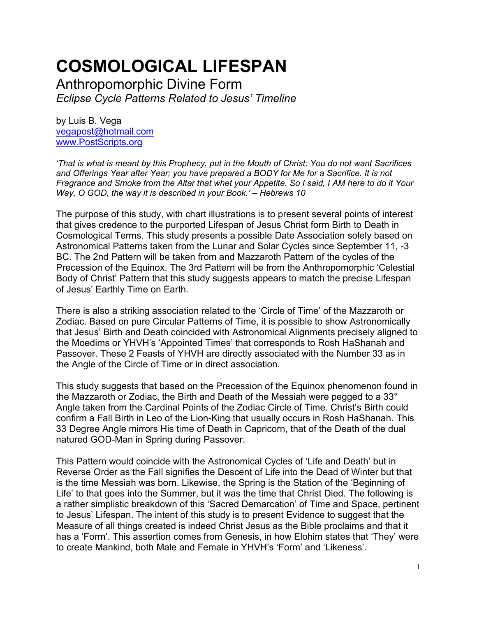# **COSMOLOGICAL LIFESPAN**

Anthropomorphic Divine Form *Eclipse Cycle Patterns Related to Jesus' Timeline*

by Luis B. Vega [vegapost@hotmail.com](mailto:vegapost@hotmail.com) [www.PostScripts.org](http://www.postscripts.org/)

*'That is what is meant by this Prophecy, put in the Mouth of Christ: You do not want Sacrifices and Offerings Year after Year; you have prepared a BODY for Me for a Sacrifice. It is not Fragrance and Smoke from the Altar that whet your Appetite. So I said, I AM here to do it Your Way, O GOD, the way it is described in your Book.' – Hebrews 10*

The purpose of this study, with chart illustrations is to present several points of interest that gives credence to the purported Lifespan of Jesus Christ form Birth to Death in Cosmological Terms. This study presents a possible Date Association solely based on Astronomical Patterns taken from the Lunar and Solar Cycles since September 11, -3 BC. The 2nd Pattern will be taken from and Mazzaroth Pattern of the cycles of the Precession of the Equinox. The 3rd Pattern will be from the Anthropomorphic 'Celestial Body of Christ' Pattern that this study suggests appears to match the precise Lifespan of Jesus' Earthly Time on Earth.

There is also a striking association related to the 'Circle of Time' of the Mazzaroth or Zodiac. Based on pure Circular Patterns of Time, it is possible to show Astronomically that Jesus' Birth and Death coincided with Astronomical Alignments precisely aligned to the Moedims or YHVH's 'Appointed Times' that corresponds to Rosh HaShanah and Passover. These 2 Feasts of YHVH are directly associated with the Number 33 as in the Angle of the Circle of Time or in direct association.

This study suggests that based on the Precession of the Equinox phenomenon found in the Mazzaroth or Zodiac, the Birth and Death of the Messiah were pegged to a 33° Angle taken from the Cardinal Points of the Zodiac Circle of Time. Christ's Birth could confirm a Fall Birth in Leo of the Lion-King that usually occurs in Rosh HaShanah. This 33 Degree Angle mirrors His time of Death in Capricorn, that of the Death of the dual natured GOD-Man in Spring during Passover.

This Pattern would coincide with the Astronomical Cycles of 'Life and Death' but in Reverse Order as the Fall signifies the Descent of Life into the Dead of Winter but that is the time Messiah was born. Likewise, the Spring is the Station of the 'Beginning of Life' to that goes into the Summer, but it was the time that Christ Died. The following is a rather simplistic breakdown of this 'Sacred Demarcation' of Time and Space, pertinent to Jesus' Lifespan. The intent of this study is to present Evidence to suggest that the Measure of all things created is indeed Christ Jesus as the Bible proclaims and that it has a 'Form'. This assertion comes from Genesis, in how Elohim states that 'They' were to create Mankind, both Male and Female in YHVH's 'Form' and 'Likeness'.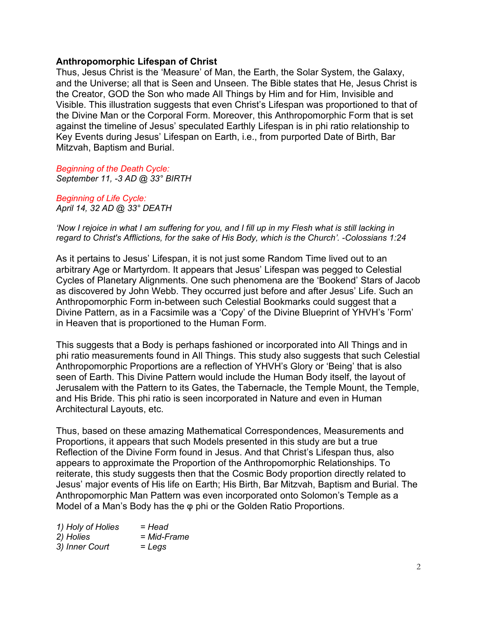# **Anthropomorphic Lifespan of Christ**

Thus, Jesus Christ is the 'Measure' of Man, the Earth, the Solar System, the Galaxy, and the Universe; all that is Seen and Unseen. The Bible states that He, Jesus Christ is the Creator, GOD the Son who made All Things by Him and for Him, Invisible and Visible. This illustration suggests that even Christ's Lifespan was proportioned to that of the Divine Man or the Corporal Form. Moreover, this Anthropomorphic Form that is set against the timeline of Jesus' speculated Earthly Lifespan is in phi ratio relationship to Key Events during Jesus' Lifespan on Earth, i.e., from purported Date of Birth, Bar Mitzvah, Baptism and Burial.

*Beginning of the Death Cycle: September 11, -3 AD @ 33° BIRTH*

*Beginning of Life Cycle: April 14, 32 AD @ 33° DEATH*

*'Now I rejoice in what I am suffering for you, and I fill up in my Flesh what is still lacking in regard to Christ's Afflictions, for the sake of His Body, which is the Church'. -Colossians 1:24*

As it pertains to Jesus' Lifespan, it is not just some Random Time lived out to an arbitrary Age or Martyrdom. It appears that Jesus' Lifespan was pegged to Celestial Cycles of Planetary Alignments. One such phenomena are the 'Bookend' Stars of Jacob as discovered by John Webb. They occurred just before and after Jesus' Life. Such an Anthropomorphic Form in-between such Celestial Bookmarks could suggest that a Divine Pattern, as in a Facsimile was a 'Copy' of the Divine Blueprint of YHVH's 'Form' in Heaven that is proportioned to the Human Form.

This suggests that a Body is perhaps fashioned or incorporated into All Things and in phi ratio measurements found in All Things. This study also suggests that such Celestial Anthropomorphic Proportions are a reflection of YHVH's Glory or 'Being' that is also seen of Earth. This Divine Pattern would include the Human Body itself, the layout of Jerusalem with the Pattern to its Gates, the Tabernacle, the Temple Mount, the Temple, and His Bride. This phi ratio is seen incorporated in Nature and even in Human Architectural Layouts, etc.

Thus, based on these amazing Mathematical Correspondences, Measurements and Proportions, it appears that such Models presented in this study are but a true Reflection of the Divine Form found in Jesus. And that Christ's Lifespan thus, also appears to approximate the Proportion of the Anthropomorphic Relationships. To reiterate, this study suggests then that the Cosmic Body proportion directly related to Jesus' major events of His life on Earth; His Birth, Bar Mitzvah, Baptism and Burial. The Anthropomorphic Man Pattern was even incorporated onto Solomon's Temple as a Model of a Man's Body has the φ phi or the Golden Ratio Proportions.

| 1) Holy of Holies | = Head      |
|-------------------|-------------|
| 2) Holies         | = Mid-Frame |
| 3) Inner Court    | $=$ Legs    |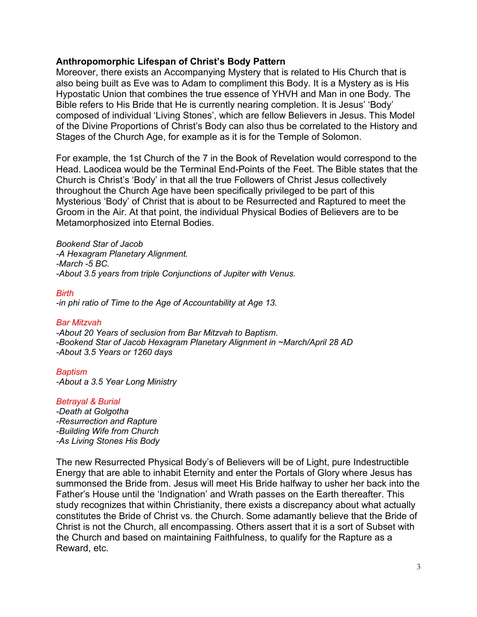## **Anthropomorphic Lifespan of Christ's Body Pattern**

Moreover, there exists an Accompanying Mystery that is related to His Church that is also being built as Eve was to Adam to compliment this Body. It is a Mystery as is His Hypostatic Union that combines the true essence of YHVH and Man in one Body. The Bible refers to His Bride that He is currently nearing completion. It is Jesus' 'Body' composed of individual 'Living Stones', which are fellow Believers in Jesus. This Model of the Divine Proportions of Christ's Body can also thus be correlated to the History and Stages of the Church Age, for example as it is for the Temple of Solomon.

For example, the 1st Church of the 7 in the Book of Revelation would correspond to the Head. Laodicea would be the Terminal End-Points of the Feet. The Bible states that the Church is Christ's 'Body' in that all the true Followers of Christ Jesus collectively throughout the Church Age have been specifically privileged to be part of this Mysterious 'Body' of Christ that is about to be Resurrected and Raptured to meet the Groom in the Air. At that point, the individual Physical Bodies of Believers are to be Metamorphosized into Eternal Bodies.

*Bookend Star of Jacob -A Hexagram Planetary Alignment. -March -5 BC. -About 3.5 years from triple Conjunctions of Jupiter with Venus.*

*Birth -in phi ratio of Time to the Age of Accountability at Age 13.*

#### *Bar Mitzvah*

*-About 20 Years of seclusion from Bar Mitzvah to Baptism. -Bookend Star of Jacob Hexagram Planetary Alignment in ~March/April 28 AD -About 3.5 Years or 1260 days*

*Baptism*

*-About a 3.5 Year Long Ministry* 

#### *Betrayal & Burial*

*-Death at Golgotha -Resurrection and Rapture -Building Wife from Church -As Living Stones His Body*

The new Resurrected Physical Body's of Believers will be of Light, pure Indestructible Energy that are able to inhabit Eternity and enter the Portals of Glory where Jesus has summonsed the Bride from. Jesus will meet His Bride halfway to usher her back into the Father's House until the 'Indignation' and Wrath passes on the Earth thereafter. This study recognizes that within Christianity, there exists a discrepancy about what actually constitutes the Bride of Christ vs. the Church. Some adamantly believe that the Bride of Christ is not the Church, all encompassing. Others assert that it is a sort of Subset with the Church and based on maintaining Faithfulness, to qualify for the Rapture as a Reward, etc.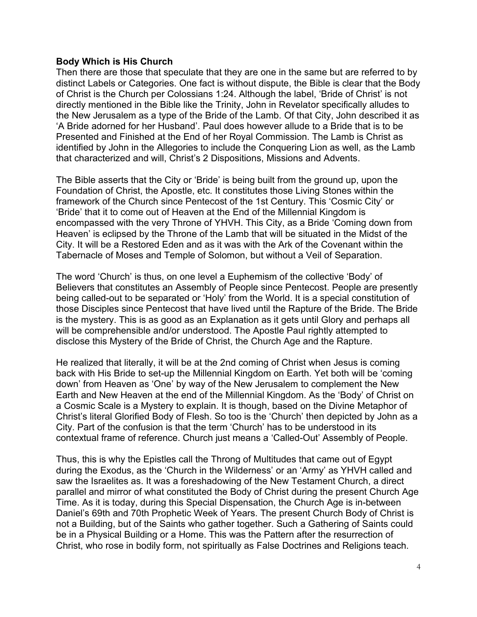# **Body Which is His Church**

Then there are those that speculate that they are one in the same but are referred to by distinct Labels or Categories. One fact is without dispute, the Bible is clear that the Body of Christ is the Church per Colossians 1:24. Although the label, 'Bride of Christ' is not directly mentioned in the Bible like the Trinity, John in Revelator specifically alludes to the New Jerusalem as a type of the Bride of the Lamb. Of that City, John described it as 'A Bride adorned for her Husband'. Paul does however allude to a Bride that is to be Presented and Finished at the End of her Royal Commission. The Lamb is Christ as identified by John in the Allegories to include the Conquering Lion as well, as the Lamb that characterized and will, Christ's 2 Dispositions, Missions and Advents.

The Bible asserts that the City or 'Bride' is being built from the ground up, upon the Foundation of Christ, the Apostle, etc. It constitutes those Living Stones within the framework of the Church since Pentecost of the 1st Century. This 'Cosmic City' or 'Bride' that it to come out of Heaven at the End of the Millennial Kingdom is encompassed with the very Throne of YHVH. This City, as a Bride 'Coming down from Heaven' is eclipsed by the Throne of the Lamb that will be situated in the Midst of the City. It will be a Restored Eden and as it was with the Ark of the Covenant within the Tabernacle of Moses and Temple of Solomon, but without a Veil of Separation.

The word 'Church' is thus, on one level a Euphemism of the collective 'Body' of Believers that constitutes an Assembly of People since Pentecost. People are presently being called-out to be separated or 'Holy' from the World. It is a special constitution of those Disciples since Pentecost that have lived until the Rapture of the Bride. The Bride is the mystery. This is as good as an Explanation as it gets until Glory and perhaps all will be comprehensible and/or understood. The Apostle Paul rightly attempted to disclose this Mystery of the Bride of Christ, the Church Age and the Rapture.

He realized that literally, it will be at the 2nd coming of Christ when Jesus is coming back with His Bride to set-up the Millennial Kingdom on Earth. Yet both will be 'coming down' from Heaven as 'One' by way of the New Jerusalem to complement the New Earth and New Heaven at the end of the Millennial Kingdom. As the 'Body' of Christ on a Cosmic Scale is a Mystery to explain. It is though, based on the Divine Metaphor of Christ's literal Glorified Body of Flesh. So too is the 'Church' then depicted by John as a City. Part of the confusion is that the term 'Church' has to be understood in its contextual frame of reference. Church just means a 'Called-Out' Assembly of People.

Thus, this is why the Epistles call the Throng of Multitudes that came out of Egypt during the Exodus, as the 'Church in the Wilderness' or an 'Army' as YHVH called and saw the Israelites as. It was a foreshadowing of the New Testament Church, a direct parallel and mirror of what constituted the Body of Christ during the present Church Age Time. As it is today, during this Special Dispensation, the Church Age is in-between Daniel's 69th and 70th Prophetic Week of Years. The present Church Body of Christ is not a Building, but of the Saints who gather together. Such a Gathering of Saints could be in a Physical Building or a Home. This was the Pattern after the resurrection of Christ, who rose in bodily form, not spiritually as False Doctrines and Religions teach.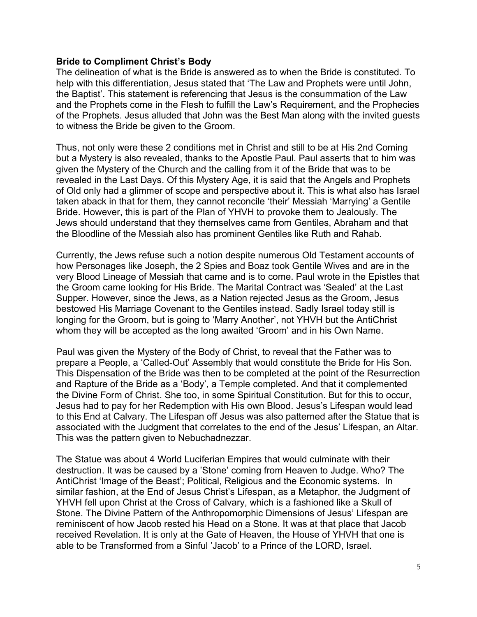# **Bride to Compliment Christ's Body**

The delineation of what is the Bride is answered as to when the Bride is constituted. To help with this differentiation, Jesus stated that 'The Law and Prophets were until John, the Baptist'. This statement is referencing that Jesus is the consummation of the Law and the Prophets come in the Flesh to fulfill the Law's Requirement, and the Prophecies of the Prophets. Jesus alluded that John was the Best Man along with the invited guests to witness the Bride be given to the Groom.

Thus, not only were these 2 conditions met in Christ and still to be at His 2nd Coming but a Mystery is also revealed, thanks to the Apostle Paul. Paul asserts that to him was given the Mystery of the Church and the calling from it of the Bride that was to be revealed in the Last Days. Of this Mystery Age, it is said that the Angels and Prophets of Old only had a glimmer of scope and perspective about it. This is what also has Israel taken aback in that for them, they cannot reconcile 'their' Messiah 'Marrying' a Gentile Bride. However, this is part of the Plan of YHVH to provoke them to Jealously. The Jews should understand that they themselves came from Gentiles, Abraham and that the Bloodline of the Messiah also has prominent Gentiles like Ruth and Rahab.

Currently, the Jews refuse such a notion despite numerous Old Testament accounts of how Personages like Joseph, the 2 Spies and Boaz took Gentile Wives and are in the very Blood Lineage of Messiah that came and is to come. Paul wrote in the Epistles that the Groom came looking for His Bride. The Marital Contract was 'Sealed' at the Last Supper. However, since the Jews, as a Nation rejected Jesus as the Groom, Jesus bestowed His Marriage Covenant to the Gentiles instead. Sadly Israel today still is longing for the Groom, but is going to 'Marry Another', not YHVH but the AntiChrist whom they will be accepted as the long awaited 'Groom' and in his Own Name.

Paul was given the Mystery of the Body of Christ, to reveal that the Father was to prepare a People, a 'Called-Out' Assembly that would constitute the Bride for His Son. This Dispensation of the Bride was then to be completed at the point of the Resurrection and Rapture of the Bride as a 'Body', a Temple completed. And that it complemented the Divine Form of Christ. She too, in some Spiritual Constitution. But for this to occur, Jesus had to pay for her Redemption with His own Blood. Jesus's Lifespan would lead to this End at Calvary. The Lifespan off Jesus was also patterned after the Statue that is associated with the Judgment that correlates to the end of the Jesus' Lifespan, an Altar. This was the pattern given to Nebuchadnezzar.

The Statue was about 4 World Luciferian Empires that would culminate with their destruction. It was be caused by a 'Stone' coming from Heaven to Judge. Who? The AntiChrist 'Image of the Beast'; Political, Religious and the Economic systems. In similar fashion, at the End of Jesus Christ's Lifespan, as a Metaphor, the Judgment of YHVH fell upon Christ at the Cross of Calvary, which is a fashioned like a Skull of Stone. The Divine Pattern of the Anthropomorphic Dimensions of Jesus' Lifespan are reminiscent of how Jacob rested his Head on a Stone. It was at that place that Jacob received Revelation. It is only at the Gate of Heaven, the House of YHVH that one is able to be Transformed from a Sinful 'Jacob' to a Prince of the LORD, Israel.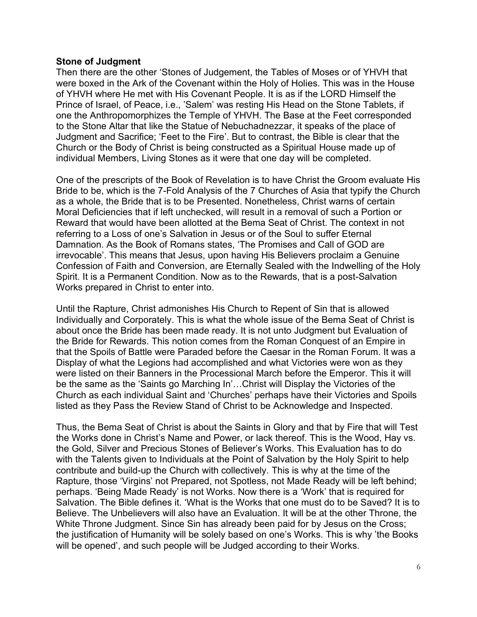## **Stone of Judgment**

Then there are the other 'Stones of Judgement, the Tables of Moses or of YHVH that were boxed in the Ark of the Covenant within the Holy of Holies. This was in the House of YHVH where He met with His Covenant People. It is as if the LORD Himself the Prince of Israel, of Peace, i.e., 'Salem' was resting His Head on the Stone Tablets, if one the Anthropomorphizes the Temple of YHVH. The Base at the Feet corresponded to the Stone Altar that like the Statue of Nebuchadnezzar, it speaks of the place of Judgment and Sacrifice; 'Feet to the Fire'. But to contrast, the Bible is clear that the Church or the Body of Christ is being constructed as a Spiritual House made up of individual Members, Living Stones as it were that one day will be completed.

One of the prescripts of the Book of Revelation is to have Christ the Groom evaluate His Bride to be, which is the 7-Fold Analysis of the 7 Churches of Asia that typify the Church as a whole, the Bride that is to be Presented. Nonetheless, Christ warns of certain Moral Deficiencies that if left unchecked, will result in a removal of such a Portion or Reward that would have been allotted at the Bema Seat of Christ. The context in not referring to a Loss of one's Salvation in Jesus or of the Soul to suffer Eternal Damnation. As the Book of Romans states, 'The Promises and Call of GOD are irrevocable'. This means that Jesus, upon having His Believers proclaim a Genuine Confession of Faith and Conversion, are Eternally Sealed with the Indwelling of the Holy Spirit. It is a Permanent Condition. Now as to the Rewards, that is a post-Salvation Works prepared in Christ to enter into.

Until the Rapture, Christ admonishes His Church to Repent of Sin that is allowed Individually and Corporately. This is what the whole issue of the Bema Seat of Christ is about once the Bride has been made ready. It is not unto Judgment but Evaluation of the Bride for Rewards. This notion comes from the Roman Conquest of an Empire in that the Spoils of Battle were Paraded before the Caesar in the Roman Forum. It was a Display of what the Legions had accomplished and what Victories were won as they were listed on their Banners in the Processional March before the Emperor. This it will be the same as the 'Saints go Marching In'…Christ will Display the Victories of the Church as each individual Saint and 'Churches' perhaps have their Victories and Spoils listed as they Pass the Review Stand of Christ to be Acknowledge and Inspected.

Thus, the Bema Seat of Christ is about the Saints in Glory and that by Fire that will Test the Works done in Christ's Name and Power, or lack thereof. This is the Wood, Hay vs. the Gold, Silver and Precious Stones of Believer's Works. This Evaluation has to do with the Talents given to Individuals at the Point of Salvation by the Holy Spirit to help contribute and build-up the Church with collectively. This is why at the time of the Rapture, those 'Virgins' not Prepared, not Spotless, not Made Ready will be left behind; perhaps. 'Being Made Ready' is not Works. Now there is a 'Work' that is required for Salvation. The Bible defines it. 'What is the Works that one must do to be Saved? It is to Believe. The Unbelievers will also have an Evaluation. It will be at the other Throne, the White Throne Judgment. Since Sin has already been paid for by Jesus on the Cross; the justification of Humanity will be solely based on one's Works. This is why 'the Books will be opened', and such people will be Judged according to their Works.